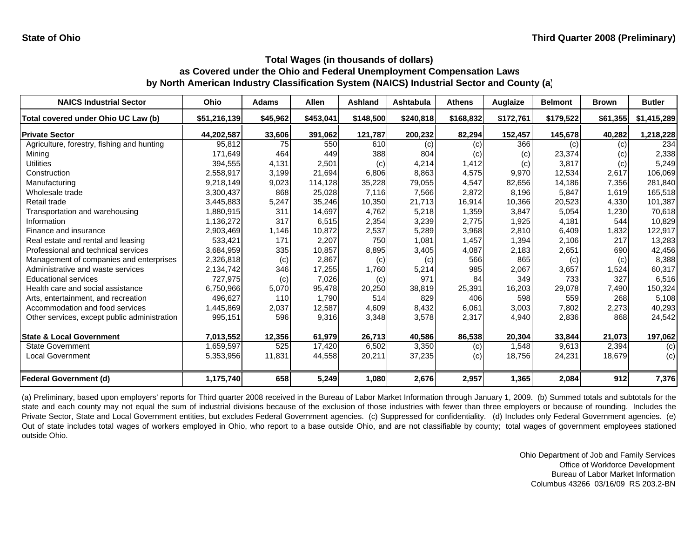| <b>NAICS Industrial Sector</b>               | Ohio         | <b>Adams</b> | <b>Allen</b> | Ashland   | <b>Ashtabula</b> | <b>Athens</b> | Auglaize  | <b>Belmont</b> | <b>Brown</b> | <b>Butler</b> |
|----------------------------------------------|--------------|--------------|--------------|-----------|------------------|---------------|-----------|----------------|--------------|---------------|
| Total covered under Ohio UC Law (b)          | \$51,216,139 | \$45,962     | \$453,041    | \$148,500 | \$240,818        | \$168,832     | \$172,761 | \$179,522      | \$61,355     | \$1,415,289   |
| <b>Private Sector</b>                        | 44,202,587   | 33,606       | 391,062      | 121,787   | 200,232          | 82,294        | 152,457   | 145,678        | 40,282       | 1,218,228     |
| Agriculture, forestry, fishing and hunting   | 95,812       | 75           | 550          | 610       | (c)              | (c)           | 366       | (c)            | (c)          | 234           |
| Mining                                       | 171,649      | 464          | 449          | 388       | 804              | (c)           | (c)       | 23,374         | (c)          | 2,338         |
| Utilities                                    | 394,555      | 4,131        | 2,501        | (c)       | 4,214            | 1,412         | (c)       | 3,817          | (c)          | 5,249         |
| Construction                                 | 2,558,917    | 3,199        | 21,694       | 6,806     | 8,863            | 4,575         | 9,970     | 12,534         | 2,617        | 106,069       |
| Manufacturing                                | 9,218,149    | 9,023        | 114,128      | 35,228    | 79,055           | 4,547         | 82,656    | 14,186         | 7,356        | 281,840       |
| Wholesale trade                              | 3,300,437    | 868          | 25,028       | 7,116     | 7,566            | 2,872         | 8,196     | 5,847          | 1.619        | 165,518       |
| Retail trade                                 | 3,445,883    | 5,247        | 35,246       | 10,350    | 21,713           | 16,914        | 10,366    | 20,523         | 4,330        | 101,387       |
| Transportation and warehousing               | 1,880,915    | 311          | 14,697       | 4,762     | 5,218            | 1,359         | 3,847     | 5,054          | 1,230        | 70,618        |
| Information                                  | 1,136,272    | 317          | 6,515        | 2,354     | 3,239            | 2,775         | 1,925     | 4,181          | 544          | 10,829        |
| Finance and insurance                        | 2,903,469    | 1,146        | 10,872       | 2,537     | 5,289            | 3,968         | 2,810     | 6,409          | 1,832        | 122,917       |
| Real estate and rental and leasing           | 533,421      | 171          | 2,207        | 750       | 1,081            | 1,457         | 1,394     | 2,106          | 217          | 13,283        |
| Professional and technical services          | 3,684,959    | 335          | 10,857       | 8,895     | 3,405            | 4,087         | 2,183     | 2,651          | 690          | 42,456        |
| Management of companies and enterprises      | 2,326,818    | (c)          | 2,867        | (c)       | (c)              | 566           | 865       | (c)            | (c)          | 8,388         |
| Administrative and waste services            | 2,134,742    | 346          | 17,255       | 1,760     | 5,214            | 985           | 2,067     | 3,657          | 1,524        | 60,317        |
| <b>Educational services</b>                  | 727,975      | (c)          | 7,026        | (c)       | 971              | 84            | 349       | 733            | 327          | 6,516         |
| Health care and social assistance            | 6,750,966    | 5,070        | 95,478       | 20,250    | 38,819           | 25,391        | 16,203    | 29,078         | 7,490        | 150,324       |
| Arts, entertainment, and recreation          | 496.627      | 110          | 1,790        | 514       | 829              | 406           | 598       | 559            | 268          | 5,108         |
| Accommodation and food services              | 1,445,869    | 2,037        | 12,587       | 4,609     | 8,432            | 6,061         | 3,003     | 7,802          | 2,273        | 40,293        |
| Other services, except public administration | 995,151      | 596          | 9,316        | 3,348     | 3,578            | 2,317         | 4,940     | 2,836          | 868          | 24,542        |
| <b>State &amp; Local Government</b>          | 7,013,552    | 12,356       | 61,979       | 26,713    | 40,586           | 86,538        | 20,304    | 33,844         | 21,073       | 197,062       |
| <b>State Government</b>                      | 1,659,597    | 525          | 17,420       | 6,502     | 3,350            | (c)           | 1,548     | 9,613          | 2,394        | (c)           |
| <b>Local Government</b>                      | 5,353,956    | 11,831       | 44,558       | 20,211    | 37,235           | (c)           | 18,756    | 24,231         | 18,679       | (c)           |
| <b>Federal Government (d)</b>                | 1,175,740    | 658          | 5,249        | 1,080     | 2,676            | 2,957         | 1,365     | 2,084          | 912          | 7,376         |

(a) Preliminary, based upon employers' reports for Third quarter 2008 received in the Bureau of Labor Market Information through January 1, 2009. (b) Summed totals and subtotals for the state and each county may not equal the sum of industrial divisions because of the exclusion of those industries with fewer than three employers or because of rounding. Includes the Private Sector, State and Local Government entities, but excludes Federal Government agencies. (c) Suppressed for confidentiality. (d) Includes only Federal Government agencies. (e) Out of state includes total wages of workers employed in Ohio, who report to <sup>a</sup> base outside Ohio, and are not classifiable by county; total wages of government employees stationed outside Ohio.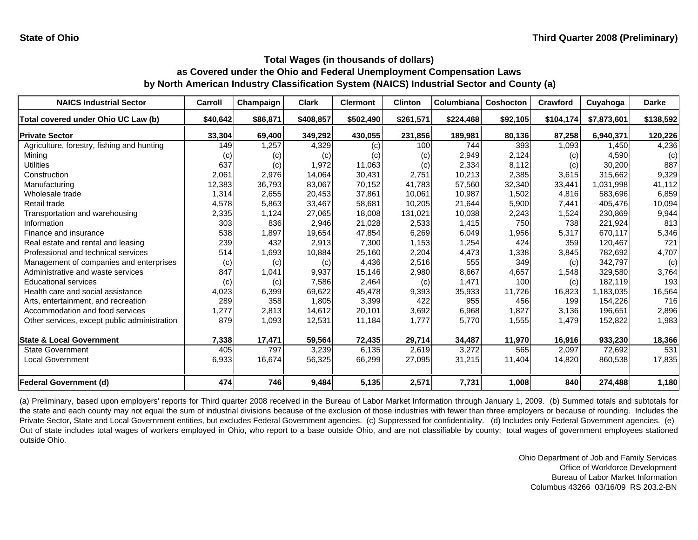| <b>NAICS Industrial Sector</b>               | Carroll  | Champaign | <b>Clark</b> | <b>Clermont</b> | <b>Clinton</b> | Columbiana | Coshocton | Crawford  | Cuyahoga    | <b>Darke</b> |
|----------------------------------------------|----------|-----------|--------------|-----------------|----------------|------------|-----------|-----------|-------------|--------------|
| Total covered under Ohio UC Law (b)          | \$40,642 | \$86,871  | \$408,857    | \$502,490       | \$261,571      | \$224,468  | \$92,105  | \$104,174 | \$7,873,601 | \$138,592    |
| <b>Private Sector</b>                        | 33,304   | 69,400    | 349,292      | 430,055         | 231,856        | 189,981    | 80,136    | 87,258    | 6,940,371   | 120,226      |
| Agriculture, forestry, fishing and hunting   | 149      | 1,257     | 4,329        | (c)             | 100            | 744        | 393       | 1,093     | 1,450       | 4,236        |
| Mining                                       | (c)      | (c)       | (c)          | (c)             | (c)            | 2,949      | 2,124     | (c)       | 4,590       | (c)          |
| Utilities                                    | 637      | (c)       | 1,972        | 11,063          | (c)            | 2,334      | 8,112     | (c)       | 30,200      | 887          |
| Construction                                 | 2,061    | 2,976     | 14,064       | 30,431          | 2,751          | 10,213     | 2,385     | 3,615     | 315.662     | 9,329        |
| Manufacturing                                | 12,383   | 36,793    | 83,067       | 70,152          | 41,783         | 57,560     | 32,340    | 33,441    | 1,031,998   | 41,112       |
| Wholesale trade                              | 1,314    | 2,655     | 20,453       | 37,861          | 10,061         | 10,987     | 1,502     | 4,816     | 583,696     | 6,859        |
| Retail trade                                 | 4,578    | 5,863     | 33,467       | 58,681          | 10,205         | 21,644     | 5,900     | 7,441     | 405,476     | 10,094       |
| Transportation and warehousing               | 2,335    | 1,124     | 27,065       | 18,008          | 131,021        | 10,038     | 2,243     | 1,524     | 230,869     | 9,944        |
| Information                                  | 303      | 836       | 2,946        | 21,028          | 2,533          | 1,415      | 750       | 738       | 221,924     | 813          |
| Finance and insurance                        | 538      | 1,897     | 19,654       | 47,854          | 6,269          | 6,049      | 1,956     | 5,317     | 670,117     | 5,346        |
| Real estate and rental and leasing           | 239      | 432       | 2,913        | 7,300           | 1,153          | 1,254      | 424       | 359       | 120,467     | 721          |
| Professional and technical services          | 514      | 1,693     | 10,884       | 25,160          | 2,204          | 4,473      | 1,338     | 3,845     | 782,692     | 4,707        |
| Management of companies and enterprises      | (c)      | (c)       | (c)          | 4,436           | 2,516          | 555        | 349       | (c)       | 342,797     | (c)          |
| Administrative and waste services            | 847      | 1,041     | 9,937        | 15,146          | 2,980          | 8,667      | 4,657     | 1,548     | 329,580     | 3,764        |
| <b>Educational services</b>                  | (c)      | (c)       | 7,586        | 2,464           | (c)            | 1,471      | 100       | (c)       | 182,119     | 193          |
| Health care and social assistance            | 4,023    | 6,399     | 69,622       | 45,478          | 9,393          | 35,933     | 11,726    | 16,823    | 1,183,035   | 16,564       |
| Arts, entertainment, and recreation          | 289      | 358       | 1,805        | 3,399           | 422            | 955        | 456       | 199       | 154,226     | 716          |
| Accommodation and food services              | 1,277    | 2,813     | 14,612       | 20,101          | 3,692          | 6,968      | 1,827     | 3,136     | 196,651     | 2,896        |
| Other services, except public administration | 879      | 1,093     | 12,531       | 11,184          | 1,777          | 5,770      | 1,555     | 1,479     | 152,822     | 1,983        |
| <b>State &amp; Local Government</b>          | 7,338    | 17,471    | 59,564       | 72,435          | 29,714         | 34,487     | 11,970    | 16,916    | 933,230     | 18,366       |
| <b>State Government</b>                      | 405      | 797       | 3,239        | 6,135           | 2,619          | 3,272      | 565       | 2,097     | 72,692      | 531          |
| <b>Local Government</b>                      | 6,933    | 16,674    | 56,325       | 66,299          | 27,095         | 31,215     | 11,404    | 14,820    | 860,538     | 17,835       |
| <b>Federal Government (d)</b>                | 474      | 746       | 9,484        | 5,135           | 2,571          | 7,731      | 1,008     | 840       | 274,488     | 1,180        |

(a) Preliminary, based upon employers' reports for Third quarter 2008 received in the Bureau of Labor Market Information through January 1, 2009. (b) Summed totals and subtotals for the state and each county may not equal the sum of industrial divisions because of the exclusion of those industries with fewer than three employers or because of rounding. Includes the Private Sector, State and Local Government entities, but excludes Federal Government agencies. (c) Suppressed for confidentiality. (d) Includes only Federal Government agencies. (e) Out of state includes total wages of workers employed in Ohio, who report to <sup>a</sup> base outside Ohio, and are not classifiable by county; total wages of government employees stationed outside Ohio.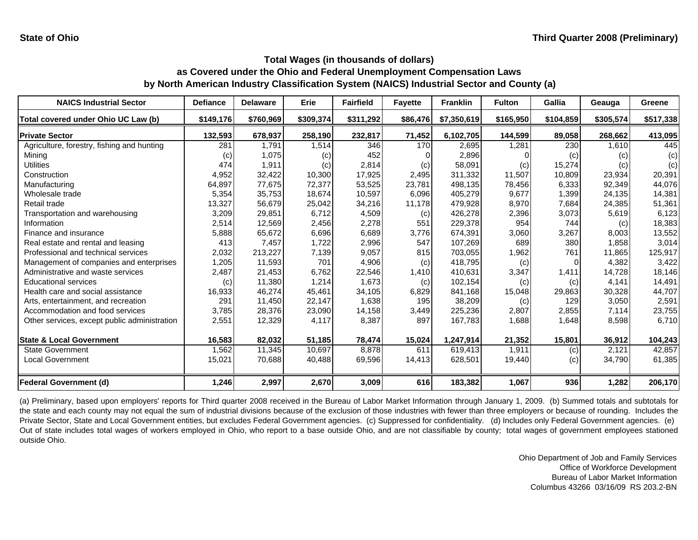| <b>NAICS Industrial Sector</b>               | <b>Defiance</b> | <b>Delaware</b> | <b>Erie</b> | <b>Fairfield</b> | <b>Fayette</b> | <b>Franklin</b> | <b>Fulton</b> | Gallia    | Geauga    | <b>Greene</b> |
|----------------------------------------------|-----------------|-----------------|-------------|------------------|----------------|-----------------|---------------|-----------|-----------|---------------|
| Total covered under Ohio UC Law (b)          | \$149,176       | \$760,969       | \$309,374   | \$311,292        | \$86,476       | \$7,350,619     | \$165,950     | \$104,859 | \$305,574 | \$517,338     |
| <b>Private Sector</b>                        | 132,593         | 678,937         | 258,190     | 232,817          | 71,452         | 6,102,705       | 144,599       | 89,058    | 268,662   | 413,095       |
| Agriculture, forestry, fishing and hunting   | 281             | 1,791           | 1,514       | 346              | 170            | 2,695           | 1,281         | 230       | 1,610     | 445           |
| Mining                                       | (c)             | 1,075           | (c)         | 452              |                | 2,896           |               | (c)       | (c)       | (c)           |
| Utilities                                    | 474             | 1,911           | (c)         | 2,814            | (c)            | 58,091          | (c)           | 15,274    | (c)       | (c)           |
| Construction                                 | 4,952           | 32,422          | 10,300      | 17,925           | 2,495          | 311,332         | 11,507        | 10.809    | 23,934    | 20,391        |
| Manufacturing                                | 64,897          | 77,675          | 72,377      | 53,525           | 23,781         | 498,135         | 78,456        | 6,333     | 92,349    | 44,076        |
| Wholesale trade                              | 5,354           | 35,753          | 18,674      | 10,597           | 6,096          | 405,279         | 9,677         | 1,399     | 24,135    | 14,381        |
| Retail trade                                 | 13,327          | 56,679          | 25,042      | 34,216           | 11,178         | 479,928         | 8,970         | 7,684     | 24,385    | 51,361        |
| Transportation and warehousing               | 3,209           | 29,851          | 6,712       | 4,509            | (c)            | 426,278         | 2,396         | 3,073     | 5,619     | 6,123         |
| Information                                  | 2,514           | 12,569          | 2,456       | 2,278            | 551            | 229,378         | 954           | 744       | (c)       | 18,383        |
| Finance and insurance                        | 5,888           | 65,672          | 6,696       | 6,689            | 3,776          | 674,391         | 3,060         | 3,267     | 8,003     | 13,552        |
| Real estate and rental and leasing           | 413             | 7,457           | 1,722       | 2,996            | 547            | 107,269         | 689           | 380       | 1,858     | 3,014         |
| Professional and technical services          | 2,032           | 213,227         | 7,139       | 9,057            | 815            | 703,055         | 1,962         | 761       | 11,865    | 125,917       |
| Management of companies and enterprises      | 1,205           | 11,593          | 701         | 4,906            | (c)            | 418,795         | (c)           | 0         | 4,382     | 3,422         |
| Administrative and waste services            | 2,487           | 21,453          | 6,762       | 22,546           | 1,410          | 410,631         | 3,347         | 1,411     | 14,728    | 18,146        |
| <b>Educational services</b>                  | (c)             | 11,380          | 1,214       | 1,673            | (c)            | 102,154         | (c)           | (c)       | 4,141     | 14,491        |
| Health care and social assistance            | 16,933          | 46,274          | 45,461      | 34,105           | 6,829          | 841.168         | 15,048        | 29,863    | 30,328    | 44,707        |
| Arts, entertainment, and recreation          | 291             | 11,450          | 22,147      | 1,638            | 195            | 38,209          | (c)           | 129       | 3,050     | 2,591         |
| Accommodation and food services              | 3,785           | 28,376          | 23,090      | 14,158           | 3,449          | 225,236         | 2,807         | 2,855     | 7,114     | 23,755        |
| Other services, except public administration | 2,551           | 12,329          | 4,117       | 8,387            | 897            | 167,783         | 1,688         | 1,648     | 8,598     | 6,710         |
| <b>State &amp; Local Government</b>          | 16,583          | 82,032          | 51,185      | 78,474           | 15,024         | 1,247,914       | 21,352        | 15,801    | 36,912    | 104,243       |
| <b>State Government</b>                      | 1,562           | 11,345          | 10,697      | 8,878            | 611            | 619,413         | 1,911         | (c)       | 2,121     | 42,857        |
| <b>Local Government</b>                      | 15,021          | 70,688          | 40,488      | 69,596           | 14,413         | 628,501         | 19,440        | (c)       | 34,790    | 61,385        |
| <b>Federal Government (d)</b>                | 1,246           | 2,997           | 2,670       | 3,009            | 616            | 183,382         | 1,067         | 936       | 1,282     | 206,170       |

(a) Preliminary, based upon employers' reports for Third quarter 2008 received in the Bureau of Labor Market Information through January 1, 2009. (b) Summed totals and subtotals for the state and each county may not equal the sum of industrial divisions because of the exclusion of those industries with fewer than three employers or because of rounding. Includes the Private Sector, State and Local Government entities, but excludes Federal Government agencies. (c) Suppressed for confidentiality. (d) Includes only Federal Government agencies. (e) Out of state includes total wages of workers employed in Ohio, who report to <sup>a</sup> base outside Ohio, and are not classifiable by county; total wages of government employees stationed outside Ohio.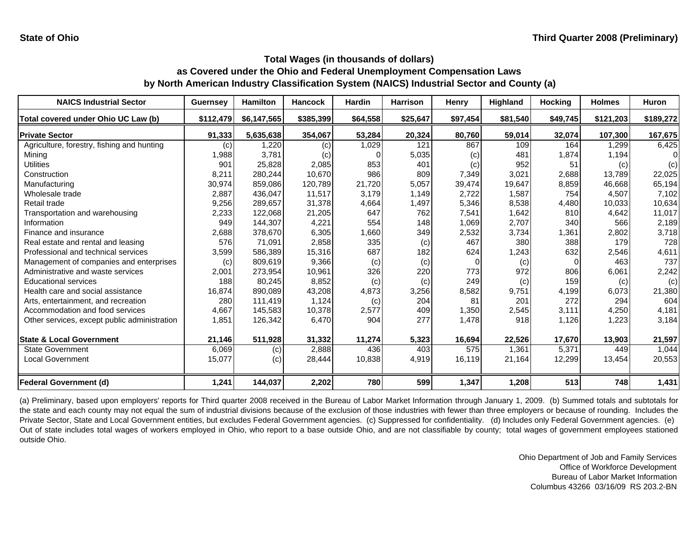| <b>NAICS Industrial Sector</b>               | <b>Guernsey</b> | <b>Hamilton</b> | <b>Hancock</b> | <b>Hardin</b> | <b>Harrison</b> | <b>Henry</b> | Highland | <b>Hocking</b> | <b>Holmes</b> | <b>Huron</b> |
|----------------------------------------------|-----------------|-----------------|----------------|---------------|-----------------|--------------|----------|----------------|---------------|--------------|
| Total covered under Ohio UC Law (b)          | \$112,479       | \$6,147,565     | \$385,399      | \$64,558      | \$25,647        | \$97,454     | \$81,540 | \$49,745       | \$121,203     | \$189,272    |
| <b>Private Sector</b>                        | 91,333          | 5,635,638       | 354,067        | 53,284        | 20,324          | 80,760       | 59,014   | 32,074         | 107,300       | 167,675      |
| Agriculture, forestry, fishing and hunting   | (c)             | 1,220           | (c)            | 1,029         | 121             | 867          | 109      | 164            | 1,299         | 6,425        |
| Mining                                       | 1,988           | 3,781           | (c)            |               | 5,035           | (c)          | 481      | 1,874          | 1,194         |              |
| <b>Utilities</b>                             | 901             | 25,828          | 2,085          | 853           | 401             | (c)          | 952      | 51             | (c)           | (c)          |
| Construction                                 | 8,211           | 280,244         | 10.670         | 986           | 809             | 7,349        | 3,021    | 2,688          | 13.789        | 22,025       |
| Manufacturing                                | 30,974          | 859,086         | 120.789        | 21,720        | 5,057           | 39,474       | 19,647   | 8,859          | 46.668        | 65,194       |
| Wholesale trade                              | 2,887           | 436,047         | 11,517         | 3,179         | 1,149           | 2,722        | 1,587    | 754            | 4,507         | 7,102        |
| Retail trade                                 | 9,256           | 289,657         | 31,378         | 4,664         | 1,497           | 5,346        | 8,538    | 4,480          | 10,033        | 10,634       |
| Transportation and warehousing               | 2,233           | 122,068         | 21,205         | 647           | 762             | 7,541        | 1,642    | 810            | 4,642         | 11,017       |
| Information                                  | 949             | 144,307         | 4,221          | 554           | 148             | 1,069        | 2,707    | 340            | 566           | 2,189        |
| Finance and insurance                        | 2,688           | 378,670         | 6,305          | 1,660         | 349             | 2,532        | 3,734    | 1,361          | 2,802         | 3,718        |
| Real estate and rental and leasing           | 576             | 71,091          | 2,858          | 335           | (c)             | 467          | 380      | 388            | 179           | 728          |
| Professional and technical services          | 3,599           | 586,389         | 15,316         | 687           | 182             | 624          | 1,243    | 632            | 2,546         | 4,611        |
| Management of companies and enterprises      | (c)             | 809,619         | 9,366          | (c)           | (c)             |              | (c)      | $\Omega$       | 463           | 737          |
| Administrative and waste services            | 2,001           | 273,954         | 10,961         | 326           | 220             | 773          | 972      | 806            | 6,061         | 2,242        |
| <b>Educational services</b>                  | 188             | 80,245          | 8,852          | (c)           | (c)             | 249          | (c)      | 159            | (c)           | (c)          |
| Health care and social assistance            | 16,874          | 890,089         | 43,208         | 4,873         | 3,256           | 8,582        | 9,751    | 4,199          | 6,073         | 21,380       |
| Arts, entertainment, and recreation          | 280             | 111,419         | 1,124          | (c)           | 204             | 81           | 201      | 272            | 294           | 604          |
| Accommodation and food services              | 4,667           | 145,583         | 10,378         | 2,577         | 409             | 1,350        | 2,545    | 3,111          | 4,250         | 4,181        |
| Other services, except public administration | 1,851           | 126,342         | 6,470          | 904           | 277             | 1,478        | 918      | 1,126          | 1,223         | 3,184        |
| <b>State &amp; Local Government</b>          | 21,146          | 511,928         | 31,332         | 11,274        | 5,323           | 16,694       | 22,526   | 17,670         | 13,903        | 21,597       |
| <b>State Government</b>                      | 6,069           | (c)             | 2,888          | 436           | 403             | 575          | 1.361    | 5,371          | 449           | 1,044        |
| <b>Local Government</b>                      | 15,077          | (c)             | 28,444         | 10,838        | 4,919           | 16,119       | 21,164   | 12,299         | 13,454        | 20,553       |
| <b>Federal Government (d)</b>                | 1,241           | 144,037         | 2,202          | 780           | 599             | 1,347        | 1,208    | 513            | 748           | 1,431        |

(a) Preliminary, based upon employers' reports for Third quarter 2008 received in the Bureau of Labor Market Information through January 1, 2009. (b) Summed totals and subtotals for the state and each county may not equal the sum of industrial divisions because of the exclusion of those industries with fewer than three employers or because of rounding. Includes the Private Sector, State and Local Government entities, but excludes Federal Government agencies. (c) Suppressed for confidentiality. (d) Includes only Federal Government agencies. (e) Out of state includes total wages of workers employed in Ohio, who report to <sup>a</sup> base outside Ohio, and are not classifiable by county; total wages of government employees stationed outside Ohio.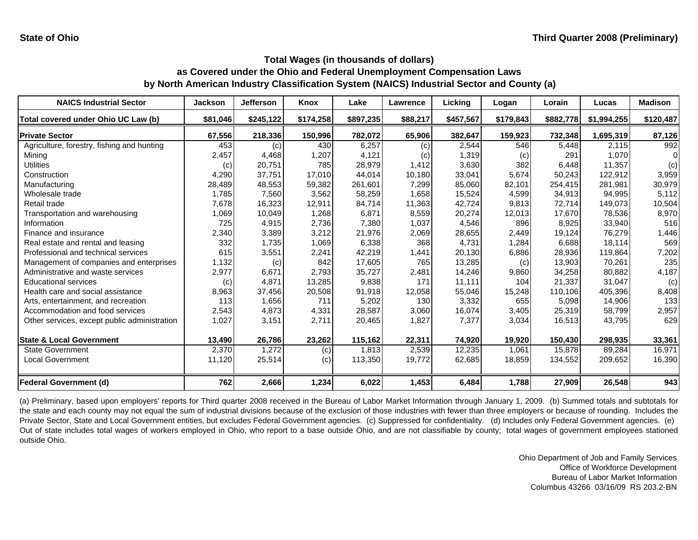| <b>NAICS Industrial Sector</b>               | <b>Jackson</b> | <b>Jefferson</b> | <b>Knox</b> | Lake      | Lawrence | Licking   | Logan     | Lorain    | Lucas       | <b>Madison</b> |
|----------------------------------------------|----------------|------------------|-------------|-----------|----------|-----------|-----------|-----------|-------------|----------------|
| Total covered under Ohio UC Law (b)          | \$81,046       | \$245,122        | \$174,258   | \$897,235 | \$88,217 | \$457,567 | \$179,843 | \$882,778 | \$1,994,255 | \$120,487      |
| <b>Private Sector</b>                        | 67,556         | 218,336          | 150,996     | 782,072   | 65,906   | 382,647   | 159,923   | 732,348   | 1,695,319   | 87,126         |
| Agriculture, forestry, fishing and hunting   | 453            | (c)              | 430         | 6,257     | (c)      | 2,544     | 546       | 5,448     | 2,115       | 992            |
| Mining                                       | 2,457          | 4,468            | 1,207       | 4,121     | (c)      | 1,319     | (c)       | 291       | 1.070       |                |
| Utilities                                    | (c)            | 20,751           | 785         | 28,979    | 1,412    | 3,630     | 382       | 6,448     | 11,357      | (c)            |
| Construction                                 | 4,290          | 37,751           | 17,010      | 44,014    | 10,180   | 33,041    | 5,674     | 50,243    | 122,912     | 3,959          |
| Manufacturing                                | 28,489         | 48,553           | 59,382      | 261,601   | 7,299    | 85,060    | 82,101    | 254,415   | 281,981     | 30,979         |
| Wholesale trade                              | 1,785          | 7,560            | 3,562       | 58,259    | 1,658    | 15,524    | 4,599     | 34,913    | 94,995      | 5,112          |
| Retail trade                                 | 7,678          | 16,323           | 12,911      | 84,714    | 11,363   | 42,724    | 9,813     | 72.714    | 149,073     | 10,504         |
| Transportation and warehousing               | 1,069          | 10,049           | 1,268       | 6,871     | 8,559    | 20,274    | 12,013    | 17,670    | 78,536      | 8,970          |
| Information                                  | 725            | 4,915            | 2,736       | 7,380     | 1,037    | 4,546     | 896       | 8,925     | 33,940      | 516            |
| Finance and insurance                        | 2,340          | 3,389            | 3,212       | 21,976    | 2,069    | 28,655    | 2,449     | 19,124    | 76,279      | 1,446          |
| Real estate and rental and leasing           | 332            | 1,735            | 1,069       | 6,338     | 368      | 4.731     | 1,284     | 6.688     | 18.114      | 569            |
| Professional and technical services          | 615            | 3,551            | 2,241       | 42,219    | 1,441    | 20,130    | 6,886     | 28,936    | 119,864     | 7,202          |
| Management of companies and enterprises      | 1,132          | (c)              | 842         | 17,605    | 765      | 13,285    | (c)       | 13,903    | 70,261      | 235            |
| Administrative and waste services            | 2,977          | 6,671            | 2,793       | 35,727    | 2,481    | 14,246    | 9,860     | 34,258    | 80,882      | 4,187          |
| <b>Educational services</b>                  | (c)            | 4,871            | 13,285      | 9,838     | 171      | 11,111    | 104       | 21,337    | 31,047      | (c)            |
| Health care and social assistance            | 8,963          | 37,456           | 20,508      | 91,918    | 12,058   | 55,046    | 15,248    | 110,106   | 405,396     | 8,408          |
| Arts, entertainment, and recreation          | 113            | 1,656            | 711         | 5,202     | 130      | 3,332     | 655       | 5,098     | 14,906      | 133            |
| Accommodation and food services              | 2,543          | 4,873            | 4,331       | 28,587    | 3,060    | 16,074    | 3,405     | 25,319    | 58,799      | 2,957          |
| Other services, except public administration | 1,027          | 3,151            | 2,711       | 20,465    | 1,827    | 7,377     | 3,034     | 16,513    | 43,795      | 629            |
| <b>State &amp; Local Government</b>          | 13,490         | 26,786           | 23,262      | 115,162   | 22,311   | 74,920    | 19,920    | 150,430   | 298,935     | 33,361         |
| <b>State Government</b>                      | 2,370          | 1,272            | (c)         | 1,813     | 2,539    | 12,235    | 1,061     | 15,878    | 89,284      | 16,971         |
| <b>Local Government</b>                      | 11,120         | 25,514           | (c)         | 113,350   | 19,772   | 62,685    | 18,859    | 134,552   | 209,652     | 16,390         |
| <b>Federal Government (d)</b>                | 762            | 2,666            | 1,234       | 6,022     | 1,453    | 6,484     | 1,788     | 27,909    | 26,548      | 943            |

(a) Preliminary, based upon employers' reports for Third quarter 2008 received in the Bureau of Labor Market Information through January 1, 2009. (b) Summed totals and subtotals for the state and each county may not equal the sum of industrial divisions because of the exclusion of those industries with fewer than three employers or because of rounding. Includes the Private Sector, State and Local Government entities, but excludes Federal Government agencies. (c) Suppressed for confidentiality. (d) Includes only Federal Government agencies. (e) Out of state includes total wages of workers employed in Ohio, who report to <sup>a</sup> base outside Ohio, and are not classifiable by county; total wages of government employees stationed outside Ohio.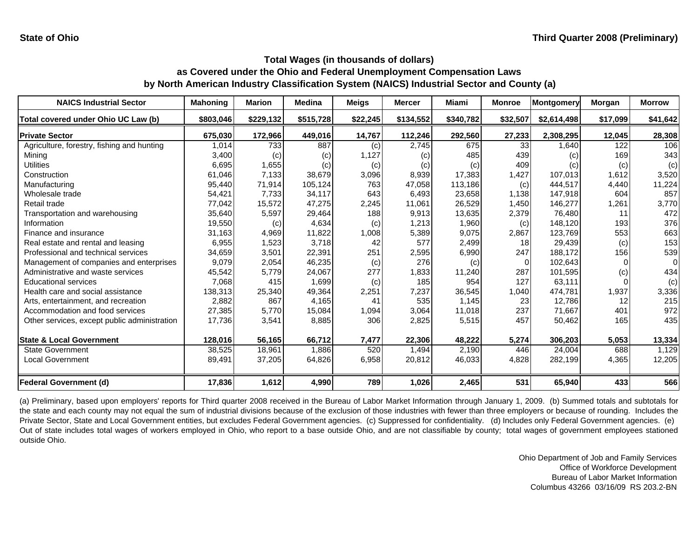| <b>NAICS Industrial Sector</b>               | <b>Mahoning</b> | <b>Marion</b> | <b>Medina</b> | <b>Meigs</b> | <b>Mercer</b> | Miami     | <b>Monroe</b> | Montgomery  | Morgan   | <b>Morrow</b> |
|----------------------------------------------|-----------------|---------------|---------------|--------------|---------------|-----------|---------------|-------------|----------|---------------|
| Total covered under Ohio UC Law (b)          | \$803,046       | \$229,132     | \$515,728     | \$22,245     | \$134,552     | \$340,782 | \$32,507      | \$2,614,498 | \$17,099 | \$41,642      |
| <b>Private Sector</b>                        | 675,030         | 172,966       | 449,016       | 14,767       | 112,246       | 292,560   | 27,233        | 2,308,295   | 12,045   | 28,308        |
| Agriculture, forestry, fishing and hunting   | 1,014           | 733           | 887           | (c)          | 2,745         | 675       | 33            | 1,640       | 122      | 106           |
| Mining                                       | 3,400           | (c)           | (c)           | 1,127        | (c)           | 485       | 439           | (c)         | 169      | 343           |
| Utilities                                    | 6,695           | 1,655         | (c)           | (c)          | (c)           | (c)       | 409           | (c)         | (c)      | (c)           |
| Construction                                 | 61,046          | 7,133         | 38,679        | 3,096        | 8,939         | 17,383    | 1,427         | 107,013     | 1,612    | 3,520         |
| Manufacturing                                | 95,440          | 71,914        | 105,124       | 763          | 47,058        | 113,186   | (c)           | 444,517     | 4,440    | 11,224        |
| Wholesale trade                              | 54,421          | 7.733         | 34.117        | 643          | 6,493         | 23,658    | 1.138         | 147.918     | 604      | 857           |
| Retail trade                                 | 77,042          | 15,572        | 47,275        | 2,245        | 11,061        | 26,529    | 1.450         | 146,277     | 1,261    | 3,770         |
| Transportation and warehousing               | 35,640          | 5,597         | 29,464        | 188          | 9,913         | 13,635    | 2,379         | 76,480      | 11       | 472           |
| Information                                  | 19,550          | (c)           | 4,634         | (c)          | 1,213         | 1,960     | (c)           | 148,120     | 193      | 376           |
| Finance and insurance                        | 31,163          | 4,969         | 11,822        | 1,008        | 5,389         | 9,075     | 2,867         | 123,769     | 553      | 663           |
| Real estate and rental and leasing           | 6,955           | 1,523         | 3,718         | 42           | 577           | 2,499     | 18            | 29,439      | (c)      | 153           |
| Professional and technical services          | 34,659          | 3,501         | 22,391        | 251          | 2,595         | 6,990     | 247           | 188,172     | 156      | 539           |
| Management of companies and enterprises      | 9,079           | 2,054         | 46,235        | (c)          | 276           | (c)       | $\Omega$      | 102,643     | $\Omega$ | $\Omega$      |
| Administrative and waste services            | 45,542          | 5,779         | 24,067        | 277          | 1,833         | 11,240    | 287           | 101,595     | (c)      | 434           |
| <b>Educational services</b>                  | 7,068           | 415           | 1,699         | (c)          | 185           | 954       | 127           | 63,111      |          | (c)           |
| Health care and social assistance            | 138,313         | 25,340        | 49,364        | 2,251        | 7,237         | 36,545    | 1,040         | 474,781     | 1,937    | 3,336         |
| Arts, entertainment, and recreation          | 2,882           | 867           | 4,165         | 41           | 535           | 1,145     | 23            | 12,786      | 12       | 215           |
| Accommodation and food services              | 27,385          | 5,770         | 15,084        | 1,094        | 3,064         | 11,018    | 237           | 71,667      | 401      | 972           |
| Other services, except public administration | 17,736          | 3,541         | 8,885         | 306          | 2,825         | 5,515     | 457           | 50,462      | 165      | 435           |
| <b>State &amp; Local Government</b>          | 128,016         | 56,165        | 66,712        | 7,477        | 22,306        | 48,222    | 5,274         | 306,203     | 5,053    | 13,334        |
| <b>State Government</b>                      | 38,525          | 18,961        | 1,886         | 520          | 1,494         | 2,190     | 446           | 24,004      | 688      | 1,129         |
| <b>Local Government</b>                      | 89,491          | 37,205        | 64,826        | 6,958        | 20,812        | 46,033    | 4,828         | 282,199     | 4,365    | 12,205        |
| <b>Federal Government (d)</b>                | 17,836          | 1,612         | 4,990         | 789          | 1,026         | 2,465     | 531           | 65,940      | 433      | 566           |

(a) Preliminary, based upon employers' reports for Third quarter 2008 received in the Bureau of Labor Market Information through January 1, 2009. (b) Summed totals and subtotals for the state and each county may not equal the sum of industrial divisions because of the exclusion of those industries with fewer than three employers or because of rounding. Includes the Private Sector, State and Local Government entities, but excludes Federal Government agencies. (c) Suppressed for confidentiality. (d) Includes only Federal Government agencies. (e) Out of state includes total wages of workers employed in Ohio, who report to <sup>a</sup> base outside Ohio, and are not classifiable by county; total wages of government employees stationed outside Ohio.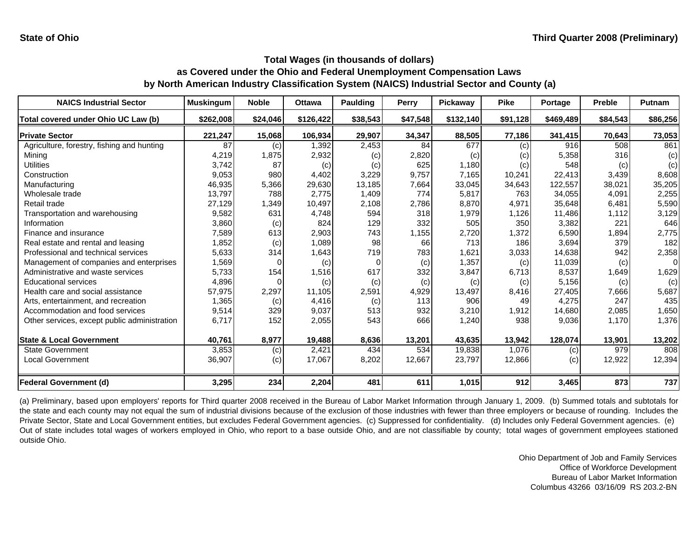| <b>NAICS Industrial Sector</b>               | <b>Muskingum</b> | <b>Noble</b> | <b>Ottawa</b> | <b>Paulding</b> | Perry    | Pickaway  | <b>Pike</b> | Portage   | <b>Preble</b> | Putnam   |
|----------------------------------------------|------------------|--------------|---------------|-----------------|----------|-----------|-------------|-----------|---------------|----------|
| Total covered under Ohio UC Law (b)          | \$262,008        | \$24,046     | \$126,422     | \$38,543        | \$47,548 | \$132,140 | \$91,128    | \$469,489 | \$84,543      | \$86,256 |
| <b>Private Sector</b>                        | 221,247          | 15,068       | 106,934       | 29,907          | 34,347   | 88,505    | 77,186      | 341,415   | 70,643        | 73,053   |
| Agriculture, forestry, fishing and hunting   | 87               | (c)          | 1,392         | 2,453           | 84       | 677       | (c)         | 916       | 508           | 861      |
| Mining                                       | 4,219            | 1,875        | 2,932         | (c)             | 2,820    | (c)       | (c)         | 5,358     | 316           | (c)      |
| Utilities                                    | 3,742            | 87           | (c)           | (c)             | 625      | 1,180     | (c)         | 548       | (c)           | (c)      |
| Construction                                 | 9,053            | 980          | 4,402         | 3,229           | 9,757    | 7,165     | 10,241      | 22,413    | 3,439         | 8,608    |
| Manufacturing                                | 46,935           | 5,366        | 29,630        | 13,185          | 7,664    | 33,045    | 34,643      | 122,557   | 38,021        | 35,205   |
| Wholesale trade                              | 13,797           | 788          | 2,775         | 1,409           | 774      | 5,817     | 763         | 34,055    | 4,091         | 2,255    |
| Retail trade                                 | 27,129           | 1,349        | 10,497        | 2,108           | 2,786    | 8,870     | 4,971       | 35,648    | 6,481         | 5,590    |
| Transportation and warehousing               | 9,582            | 631          | 4,748         | 594             | 318      | 1,979     | 1,126       | 11,486    | 1,112         | 3,129    |
| Information                                  | 3,860            | (c)          | 824           | 129             | 332      | 505       | 350         | 3,382     | 221           | 646      |
| Finance and insurance                        | 7,589            | 613          | 2,903         | 743             | 1,155    | 2,720     | 1,372       | 6,590     | 1,894         | 2,775    |
| Real estate and rental and leasing           | 1,852            | (c)          | 1,089         | 98              | 66       | 713       | 186         | 3,694     | 379           | 182      |
| Professional and technical services          | 5,633            | 314          | 1,643         | 719             | 783      | 1,621     | 3,033       | 14,638    | 942           | 2,358    |
| Management of companies and enterprises      | 1,569            |              | (c)           | O               | (c)      | 1,357     | (c)         | 11,039    | (c)           | $\Omega$ |
| Administrative and waste services            | 5,733            | 154          | 1,516         | 617             | 332      | 3,847     | 6,713       | 8,537     | 1,649         | 1,629    |
| <b>Educational services</b>                  | 4,896            |              | (c)           | (c)             | (c)      | (c)       | (c)         | 5,156     | (c)           | (c)      |
| Health care and social assistance            | 57,975           | 2,297        | 11,105        | 2,591           | 4,929    | 13,497    | 8,416       | 27,405    | 7,666         | 5,687    |
| Arts, entertainment, and recreation          | 1,365            | (c)          | 4,416         | (c)             | 113      | 906       | 49          | 4,275     | 247           | 435      |
| Accommodation and food services              | 9,514            | 329          | 9,037         | 513             | 932      | 3,210     | 1,912       | 14,680    | 2,085         | 1,650    |
| Other services, except public administration | 6,717            | 152          | 2,055         | 543             | 666      | 1,240     | 938         | 9,036     | 1,170         | 1,376    |
| <b>State &amp; Local Government</b>          | 40,761           | 8,977        | 19,488        | 8,636           | 13,201   | 43,635    | 13,942      | 128,074   | 13,901        | 13,202   |
| <b>State Government</b>                      | 3,853            | (c)          | 2.421         | 434             | 534      | 19,838    | 1,076       | (c)       | 979           | 808      |
| <b>Local Government</b>                      | 36,907           | (c)          | 17,067        | 8,202           | 12,667   | 23,797    | 12,866      | (c)       | 12,922        | 12,394   |
| <b>Federal Government (d)</b>                | 3,295            | 234          | 2,204         | 481             | 611      | 1,015     | 912         | 3,465     | 873           | 737      |

(a) Preliminary, based upon employers' reports for Third quarter 2008 received in the Bureau of Labor Market Information through January 1, 2009. (b) Summed totals and subtotals for the state and each county may not equal the sum of industrial divisions because of the exclusion of those industries with fewer than three employers or because of rounding. Includes the Private Sector, State and Local Government entities, but excludes Federal Government agencies. (c) Suppressed for confidentiality. (d) Includes only Federal Government agencies. (e) Out of state includes total wages of workers employed in Ohio, who report to <sup>a</sup> base outside Ohio, and are not classifiable by county; total wages of government employees stationed outside Ohio.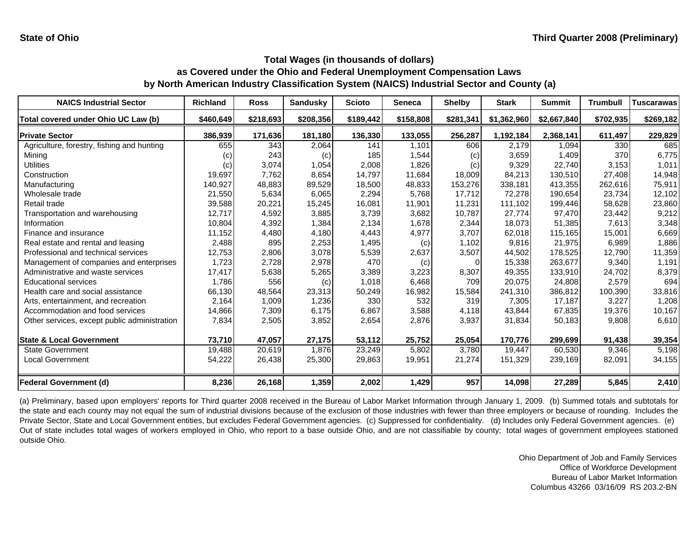| <b>NAICS Industrial Sector</b>               | Richland  | <b>Ross</b> | <b>Sandusky</b> | <b>Scioto</b> | <b>Seneca</b> | <b>Shelby</b> | <b>Stark</b> | <b>Summit</b> | <b>Trumbull</b> | <b>Tuscarawas</b> |
|----------------------------------------------|-----------|-------------|-----------------|---------------|---------------|---------------|--------------|---------------|-----------------|-------------------|
| Total covered under Ohio UC Law (b)          | \$460,649 | \$218,693   | \$208,356       | \$189,442     | \$158,808     | \$281,341     | \$1,362,960  | \$2,667,840   | \$702,935       | \$269,182         |
| <b>Private Sector</b>                        | 386,939   | 171,636     | 181,180         | 136,330       | 133,055       | 256,287       | 1,192,184    | 2,368,141     | 611,497         | 229,829           |
| Agriculture, forestry, fishing and hunting   | 655       | 343         | 2,064           | 141           | 1,101         | 606           | 2.179        | 1.094         | 330             | 685               |
| Mining                                       | (C)       | 243         | (c)             | 185           | 1,544         | (c)           | 3,659        | 1,409         | 370             | 6,775             |
| Utilities                                    | (c)       | 3,074       | 1,054           | 2,008         | 1,826         | (c)           | 9,329        | 22,740        | 3,153           | 1,011             |
| Construction                                 | 19,697    | 7,762       | 8,654           | 14,797        | 11,684        | 18,009        | 84,213       | 130.510       | 27,408          | 14,948            |
| Manufacturing                                | 140,927   | 48,883      | 89,529          | 18,500        | 48,833        | 153,276       | 338,181      | 413,355       | 262,616         | 75,911            |
| Wholesale trade                              | 21,550    | 5,634       | 6,065           | 2,294         | 5,768         | 17,712        | 72,278       | 190,654       | 23,734          | 12,102            |
| Retail trade                                 | 39,588    | 20,221      | 15,245          | 16,081        | 11,901        | 11,231        | 111,102      | 199,446       | 58,628          | 23,860            |
| Transportation and warehousing               | 12,717    | 4,592       | 3,885           | 3,739         | 3,682         | 10,787        | 27,774       | 97,470        | 23,442          | 9,212             |
| Information                                  | 10,804    | 4,392       | 1,384           | 2,134         | 1,678         | 2,344         | 18,073       | 51,385        | 7,613           | 3,348             |
| Finance and insurance                        | 11,152    | 4,480       | 4,180           | 4,443         | 4,977         | 3,707         | 62,018       | 115,165       | 15,001          | 6,669             |
| Real estate and rental and leasing           | 2,488     | 895         | 2,253           | 1,495         | (c)           | 1,102         | 9,816        | 21,975        | 6,989           | 1,886             |
| Professional and technical services          | 12,753    | 2,806       | 3,078           | 5,539         | 2,637         | 3,507         | 44,502       | 178,525       | 12,790          | 11,359            |
| Management of companies and enterprises      | 1,723     | 2,728       | 2,978           | 470           | (c)           |               | 15,338       | 263,677       | 9,340           | 1,191             |
| Administrative and waste services            | 17,417    | 5,638       | 5,265           | 3,389         | 3,223         | 8,307         | 49,355       | 133,910       | 24,702          | 8,379             |
| <b>Educational services</b>                  | 1,786     | 556         | (c)             | 1,018         | 6,468         | 709           | 20,075       | 24,808        | 2,579           | 694               |
| Health care and social assistance            | 66,130    | 48,564      | 23,313          | 50,249        | 16,982        | 15,584        | 241,310      | 386,812       | 100,390         | 33,816            |
| Arts, entertainment, and recreation          | 2,164     | 1,009       | 1,236           | 330           | 532           | 319           | 7,305        | 17,187        | 3,227           | 1,208             |
| Accommodation and food services              | 14,866    | 7,309       | 6,175           | 6,867         | 3,588         | 4,118         | 43,844       | 67,835        | 19,376          | 10,167            |
| Other services, except public administration | 7,834     | 2,505       | 3,852           | 2,654         | 2,876         | 3,937         | 31,834       | 50,183        | 9,808           | 6,610             |
| <b>State &amp; Local Government</b>          | 73,710    | 47,057      | 27,175          | 53,112        | 25,752        | 25,054        | 170,776      | 299,699       | 91,438          | 39,354            |
| <b>State Government</b>                      | 19,488    | 20,619      | 1.876           | 23,249        | 5,802         | 3.780         | 19.447       | 60,530        | 9.346           | 5,198             |
| <b>Local Government</b>                      | 54,222    | 26,438      | 25,300          | 29,863        | 19,951        | 21,274        | 151,329      | 239,169       | 82,091          | 34,155            |
| <b>Federal Government (d)</b>                | 8,236     | 26,168      | 1,359           | 2,002         | 1,429         | 957           | 14,098       | 27,289        | 5,845           | 2,410             |

(a) Preliminary, based upon employers' reports for Third quarter 2008 received in the Bureau of Labor Market Information through January 1, 2009. (b) Summed totals and subtotals for the state and each county may not equal the sum of industrial divisions because of the exclusion of those industries with fewer than three employers or because of rounding. Includes the Private Sector, State and Local Government entities, but excludes Federal Government agencies. (c) Suppressed for confidentiality. (d) Includes only Federal Government agencies. (e) Out of state includes total wages of workers employed in Ohio, who report to <sup>a</sup> base outside Ohio, and are not classifiable by county; total wages of government employees stationed outside Ohio.